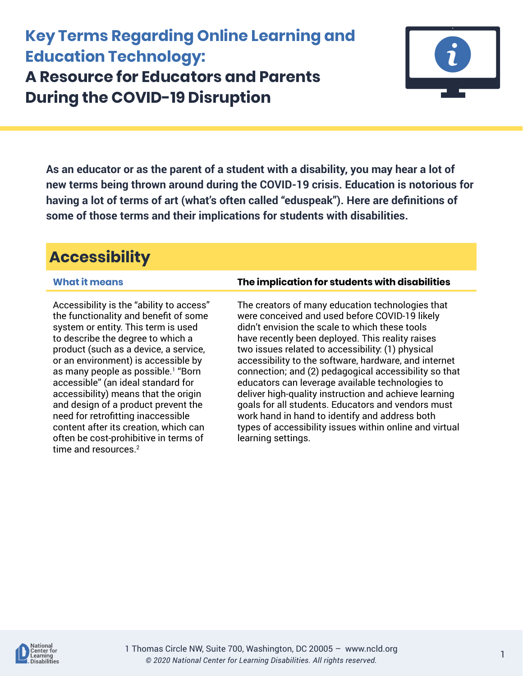# **Key Terms Regarding Online Learning and Education Technology: A Resource for Educators and Parents During the COVID-19 Disruption**



**As an educator or as the parent of a student with a disability, you may hear a lot of new terms being thrown around during the COVID-19 crisis. Education is notorious for having a lot of terms of art (what's often called "eduspeak"). Here are definitions of some of those terms and their implications for students with disabilities.** 

# **Accessibility**

Accessibility is the "ability to access" the functionality and benefit of some system or entity. This term is used to describe the degree to which a product (such as a device, a service, or an environment) is accessible by as many people as possible.<sup>1</sup> "Born accessible" (an ideal standard for accessibility) means that the origin and design of a product prevent the need for retrofitting inaccessible content after its creation, which can often be cost-prohibitive in terms of time and resources.<sup>2</sup>

### **What it means The implication for students with disabilities**

The creators of many education technologies that were conceived and used before COVID-19 likely didn't envision the scale to which these tools have recently been deployed. This reality raises two issues related to accessibility: (1) physical accessibility to the software, hardware, and internet connection; and (2) pedagogical accessibility so that educators can leverage available technologies to deliver high-quality instruction and achieve learning goals for all students. Educators and vendors must work hand in hand to identify and address both types of accessibility issues within online and virtual learning settings.

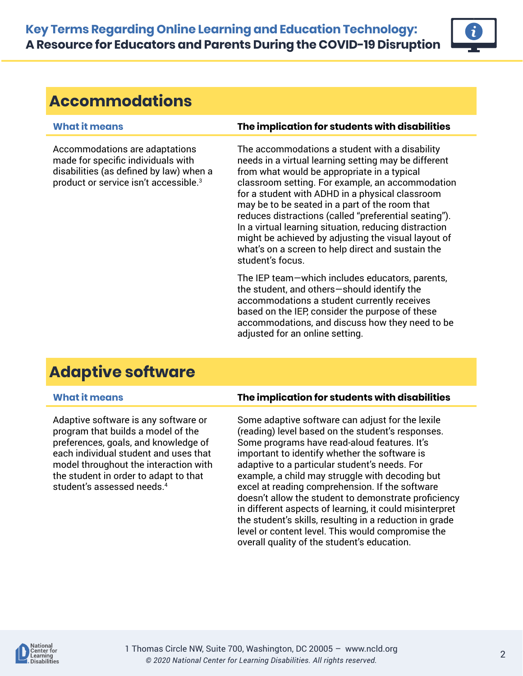

## **Accommodations**

Accommodations are adaptations made for specific individuals with disabilities (as defined by law) when a product or service isn't accessible.<sup>3</sup>

### **What it means The implication for students with disabilities**

The accommodations a student with a disability needs in a virtual learning setting may be different from what would be appropriate in a typical classroom setting. For example, an accommodation for a student with ADHD in a physical classroom may be to be seated in a part of the room that reduces distractions (called "preferential seating"). In a virtual learning situation, reducing distraction might be achieved by adjusting the visual layout of what's on a screen to help direct and sustain the student's focus.

The IEP team—which includes educators, parents, the student, and others—should identify the accommodations a student currently receives based on the IEP, consider the purpose of these accommodations, and discuss how they need to be adjusted for an online setting.

## **Adaptive software**

Adaptive software is any software or program that builds a model of the preferences, goals, and knowledge of each individual student and uses that model throughout the interaction with the student in order to adapt to that student's assessed needs.<sup>4</sup>

### **What it means The implication for students with disabilities**

Some adaptive software can adjust for the lexile (reading) level based on the student's responses. Some programs have read-aloud features. It's important to identify whether the software is adaptive to a particular student's needs. For example, a child may struggle with decoding but excel at reading comprehension. If the software doesn't allow the student to demonstrate proficiency in different aspects of learning, it could misinterpret the student's skills, resulting in a reduction in grade level or content level. This would compromise the overall quality of the student's education.

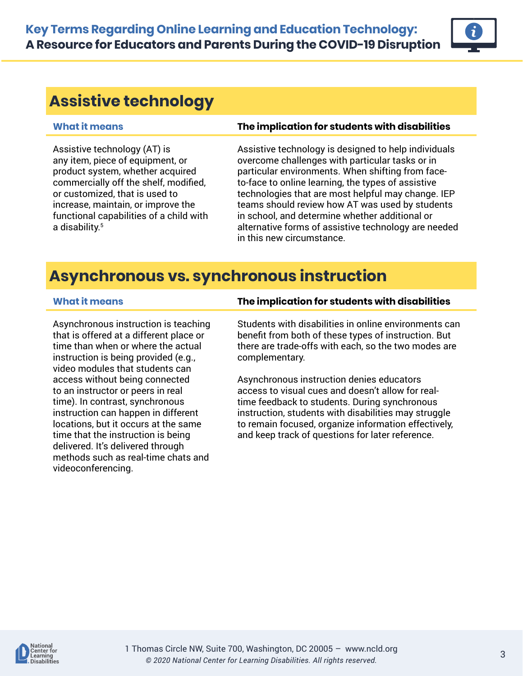## **Assistive technology**

Assistive technology (AT) is any item, piece of equipment, or product system, whether acquired commercially off the shelf, modified, or customized, that is used to increase, maintain, or improve the functional capabilities of a child with a disability.<sup>5</sup>

### **What it means The implication for students with disabilities**

Assistive technology is designed to help individuals overcome challenges with particular tasks or in particular environments. When shifting from faceto-face to online learning, the types of assistive technologies that are most helpful may change. IEP teams should review how AT was used by students in school, and determine whether additional or alternative forms of assistive technology are needed in this new circumstance.

## **Asynchronous vs. synchronous instruction**

Asynchronous instruction is teaching that is offered at a different place or time than when or where the actual instruction is being provided (e.g., video modules that students can access without being connected to an instructor or peers in real time). In contrast, synchronous instruction can happen in different locations, but it occurs at the same time that the instruction is being delivered. It's delivered through methods such as real-time chats and videoconferencing.

### **What it means The implication for students with disabilities**

Students with disabilities in online environments can benefit from both of these types of instruction. But there are trade-offs with each, so the two modes are complementary.

Asynchronous instruction denies educators access to visual cues and doesn't allow for realtime feedback to students. During synchronous instruction, students with disabilities may struggle to remain focused, organize information effectively, and keep track of questions for later reference.

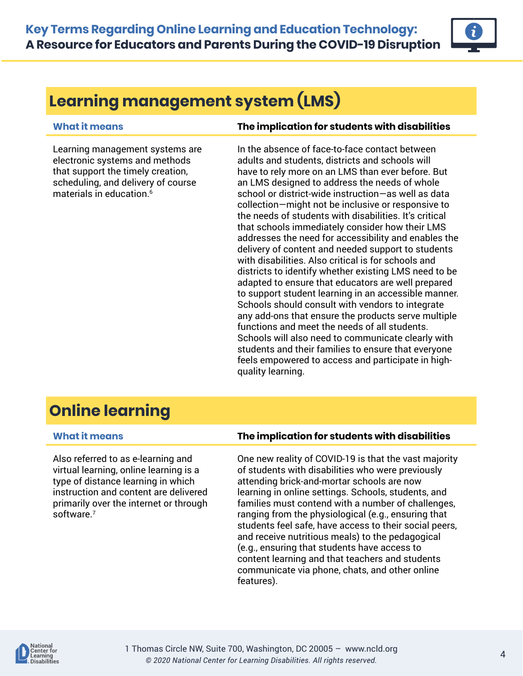

# **Learning management system (LMS)**

Learning management systems are electronic systems and methods that support the timely creation, scheduling, and delivery of course materials in education.<sup>6</sup>

### **What it means The implication for students with disabilities**

In the absence of face-to-face contact between adults and students, districts and schools will have to rely more on an LMS than ever before. But an LMS designed to address the needs of whole school or district-wide instruction—as well as data collection—might not be inclusive or responsive to the needs of students with disabilities. It's critical that schools immediately consider how their LMS addresses the need for accessibility and enables the delivery of content and needed support to students with disabilities. Also critical is for schools and districts to identify whether existing LMS need to be adapted to ensure that educators are well prepared to support student learning in an accessible manner. Schools should consult with vendors to integrate any add-ons that ensure the products serve multiple functions and meet the needs of all students. Schools will also need to communicate clearly with students and their families to ensure that everyone feels empowered to access and participate in highquality learning.

# **Online learning**

Also referred to as e-learning and virtual learning, online learning is a type of distance learning in which instruction and content are delivered primarily over the internet or through software.<sup>7</sup>

### **What it means The implication for students with disabilities**

One new reality of COVID-19 is that the vast majority of students with disabilities who were previously attending brick-and-mortar schools are now learning in online settings. Schools, students, and families must contend with a number of challenges, ranging from the physiological (e.g., ensuring that students feel safe, have access to their social peers, and receive nutritious meals) to the pedagogical (e.g., ensuring that students have access to content learning and that teachers and students communicate via phone, chats, and other online features).

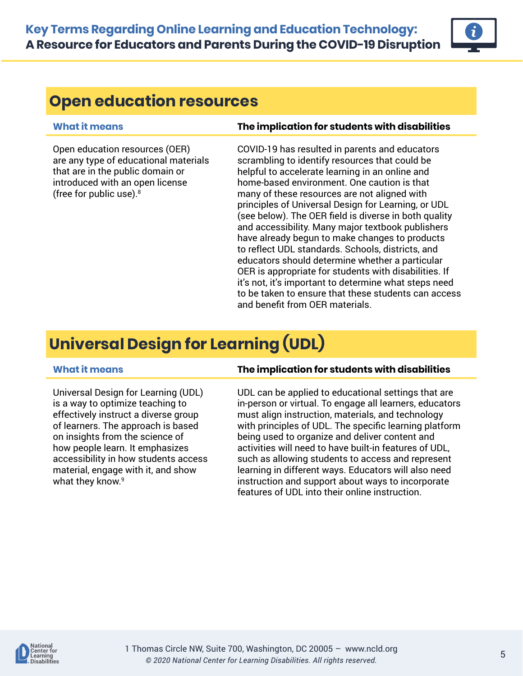

## **Open education resources**

Open education resources (OER) are any type of educational materials that are in the public domain or introduced with an open license (free for public use).<sup>8</sup>

### **What it means The implication for students with disabilities**

COVID-19 has resulted in parents and educators scrambling to identify resources that could be helpful to accelerate learning in an online and home-based environment. One caution is that many of these resources are not aligned with principles of Universal Design for Learning, or UDL (see below). The OER field is diverse in both quality and accessibility. Many major textbook publishers have already begun to make changes to products to reflect UDL standards. Schools, districts, and educators should determine whether a particular OER is appropriate for students with disabilities. If it's not, it's important to determine what steps need to be taken to ensure that these students can access and benefit from OER materials.

# **Universal Design for Learning (UDL)**

Universal Design for Learning (UDL) is a way to optimize teaching to effectively instruct a diverse group of learners. The approach is based on insights from the science of how people learn. It emphasizes accessibility in how students access material, engage with it, and show what they know.<sup>9</sup>

### **What it means The implication for students with disabilities**

UDL can be applied to educational settings that are in-person or virtual. To engage all learners, educators must align instruction, materials, and technology with principles of UDL. The specific learning platform being used to organize and deliver content and activities will need to have built-in features of UDL, such as allowing students to access and represent learning in different ways. Educators will also need instruction and support about ways to incorporate features of UDL into their online instruction.